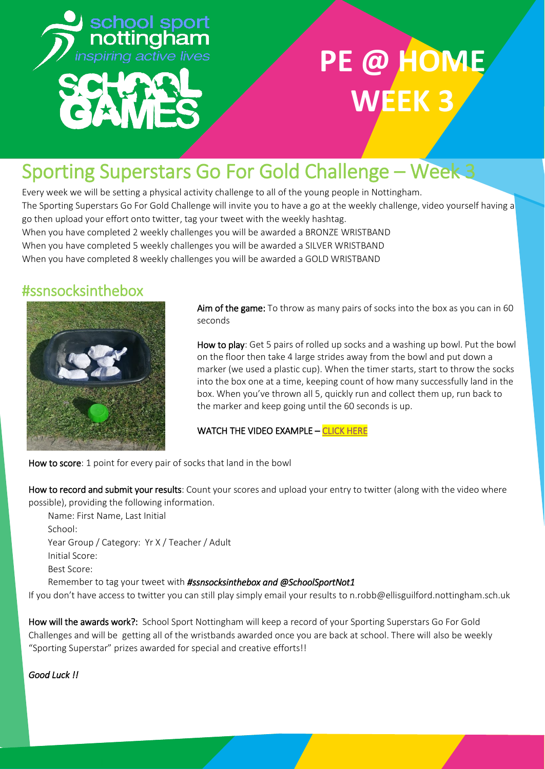

# **PE @ HOM WEEK 3**

### Sporting Superstars Go For Gold Challenge – Week 3

Every week we will be setting a physical activity challenge to all of the young people in Nottingham. The Sporting Superstars Go For Gold Challenge will invite you to have a go at the weekly challenge, video yourself having a go then upload your effort onto twitter, tag your tweet with the weekly hashtag. When you have completed 2 weekly challenges you will be awarded a BRONZE WRISTBAND When you have completed 5 weekly challenges you will be awarded a SILVER WRISTBAND When you have completed 8 weekly challenges you will be awarded a GOLD WRISTBAND

#### #ssnsocksinthebox



Aim of the game: To throw as many pairs of socks into the box as you can in 60 seconds

How to play: Get 5 pairs of rolled up socks and a washing up bowl. Put the bowl on the floor then take 4 large strides away from the bowl and put down a marker (we used a plastic cup). When the timer starts, start to throw the socks into the box one at a time, keeping count of how many successfully land in the box. When you've thrown all 5, quickly run and collect them up, run back to the marker and keep going until the 60 seconds is up.

WATCH THE VIDEO EXAMPLE - CLICK HERE

How to score: 1 point for every pair of socks that land in the bowl

How to record and submit your results: Count your scores and upload your entry to twitter (along with the video where possible), providing the following information.

Name: First Name, Last Initial School: Year Group / Category: Yr X / Teacher / Adult Initial Score: Best Score: Remember to tag your tweet with *#ssnsocksinthebox and @SchoolSportNot1*

If you don't have access to twitter you can still play simply email your results to n.robb@ellisguilford.nottingham.sch.uk

How will the awards work?: School Sport Nottingham will keep a record of your Sporting Superstars Go For Gold Challenges and will be getting all of the wristbands awarded once you are back at school. There will also be weekly "Sporting Superstar" prizes awarded for special and creative efforts!!

*Good Luck !!*